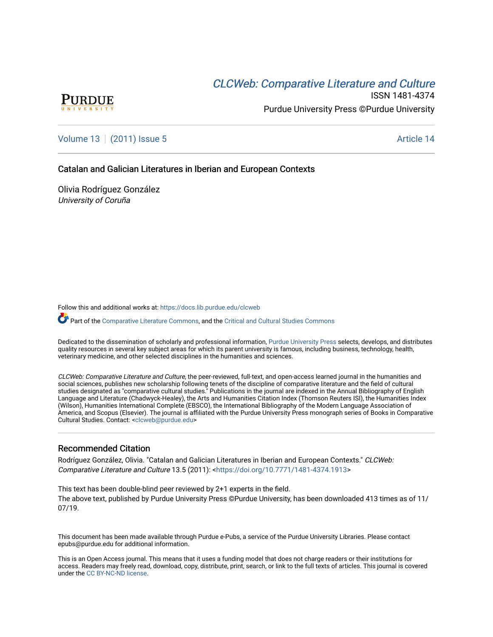# **CLCW[eb: Comparative Liter](https://docs.lib.purdue.edu/clcweb)ature and Culture**



ISSN 1481-4374 Purdue University Press ©Purdue University

[Volume 13](https://docs.lib.purdue.edu/clcweb/vol13) | [\(2011\) Issue 5](https://docs.lib.purdue.edu/clcweb/vol13/iss5) Article 14

Catalan and Galician Literatures in Iberian and European Contexts

Olivia Rodríguez González University of Coruña

Follow this and additional works at: [https://docs.lib.purdue.edu/clcweb](https://docs.lib.purdue.edu/clcweb?utm_source=docs.lib.purdue.edu%2Fclcweb%2Fvol13%2Fiss5%2F14&utm_medium=PDF&utm_campaign=PDFCoverPages)

Part of the [Comparative Literature Commons,](http://network.bepress.com/hgg/discipline/454?utm_source=docs.lib.purdue.edu%2Fclcweb%2Fvol13%2Fiss5%2F14&utm_medium=PDF&utm_campaign=PDFCoverPages) and the Critical and Cultural Studies Commons

Dedicated to the dissemination of scholarly and professional information, [Purdue University Press](http://www.thepress.purdue.edu/) selects, develops, and distributes quality resources in several key subject areas for which its parent university is famous, including business, technology, health, veterinary medicine, and other selected disciplines in the humanities and sciences.

CLCWeb: Comparative Literature and Culture, the peer-reviewed, full-text, and open-access learned journal in the humanities and social sciences, publishes new scholarship following tenets of the discipline of comparative literature and the field of cultural studies designated as "comparative cultural studies." Publications in the journal are indexed in the Annual Bibliography of English Language and Literature (Chadwyck-Healey), the Arts and Humanities Citation Index (Thomson Reuters ISI), the Humanities Index (Wilson), Humanities International Complete (EBSCO), the International Bibliography of the Modern Language Association of America, and Scopus (Elsevier). The journal is affiliated with the Purdue University Press monograph series of Books in Comparative Cultural Studies. Contact: [<clcweb@purdue.edu](mailto:clcweb@purdue.edu)>

# Recommended Citation

Rodríguez González, Olivia. "Catalan and Galician Literatures in Iberian and European Contexts." CLCWeb: Comparative Literature and Culture 13.5 (2011): <<https://doi.org/10.7771/1481-4374.1913>>

This text has been double-blind peer reviewed by 2+1 experts in the field. The above text, published by Purdue University Press ©Purdue University, has been downloaded 413 times as of 11/ 07/19.

This document has been made available through Purdue e-Pubs, a service of the Purdue University Libraries. Please contact epubs@purdue.edu for additional information.

This is an Open Access journal. This means that it uses a funding model that does not charge readers or their institutions for access. Readers may freely read, download, copy, distribute, print, search, or link to the full texts of articles. This journal is covered under the [CC BY-NC-ND license.](https://creativecommons.org/licenses/by-nc-nd/4.0/)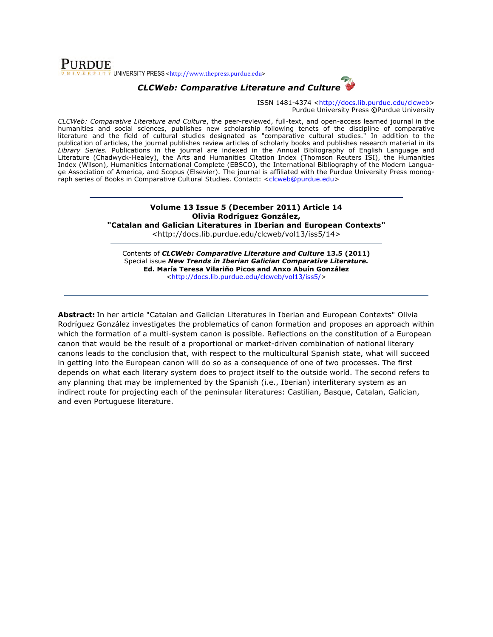# **PURDUE**  $\sqrt{8+T}$  VNIVERSITY PRESS <http://www.thepress.purdue.edu>



ISSN 1481-4374 <http://docs.lib.purdue.edu/clcweb> Purdue University Press **©**Purdue University

*CLCWeb: Comparative Literature and Culture*, the peer-reviewed, full-text, and open-access learned journal in the humanities and social sciences, publishes new scholarship following tenets of the discipline of comparative literature and the field of cultural studies designated as "comparative cultural studies." In addition to the publication of articles, the journal publishes review articles of scholarly books and publishes research material in its *Library Series.* Publications in the journal are indexed in the Annual Bibliography of English Language and Literature (Chadwyck-Healey), the Arts and Humanities Citation Index (Thomson Reuters ISI), the Humanities Index (Wilson), Humanities International Complete (EBSCO), the International Bibliography of the Modern Language Association of America, and Scopus (Elsevier). The journal is affiliated with the Purdue University Press monograph series of Books in Comparative Cultural Studies. Contact: <clcweb@purdue.edu>

### **Volume 13 Issue 5 (December 2011) Article 14 Olivia Rodríguez González,**

**"Catalan and Galician Literatures in Iberian and European Contexts"**

<http://docs.lib.purdue.edu/clcweb/vol13/iss5/14>

Contents of *CLCWeb: Comparative Literature and Culture* **13.5 (2011)** Special issue *New Trends in Iberian Galician Comparative Literature.* **Ed. María Teresa Vilariño Picos and Anxo Abuín González** <http://docs.lib.purdue.edu/clcweb/vol13/iss5/>

**Abstract:** In her article "Catalan and Galician Literatures in Iberian and European Contexts" Olivia Rodríguez González investigates the problematics of canon formation and proposes an approach within which the formation of a multi-system canon is possible. Reflections on the constitution of a European canon that would be the result of a proportional or market-driven combination of national literary canons leads to the conclusion that, with respect to the multicultural Spanish state, what will succeed in getting into the European canon will do so as a consequence of one of two processes. The first depends on what each literary system does to project itself to the outside world. The second refers to any planning that may be implemented by the Spanish (i.e., Iberian) interliterary system as an indirect route for projecting each of the peninsular literatures: Castilian, Basque, Catalan, Galician, and even Portuguese literature.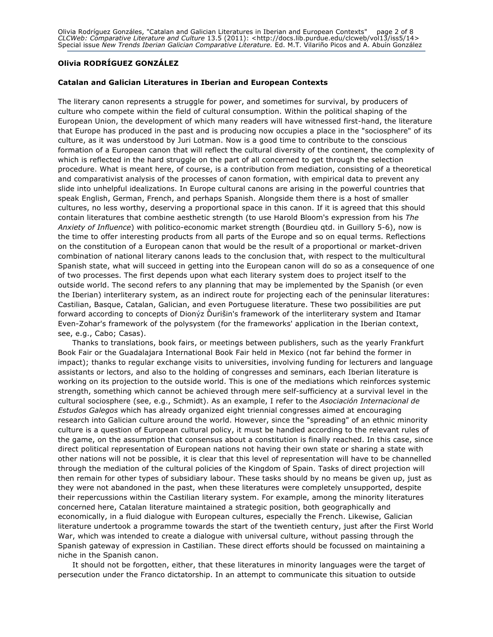# **Olivia RODRÍGUEZ GONZÁLEZ**

#### **Catalan and Galician Literatures in Iberian and European Contexts**

The literary canon represents a struggle for power, and sometimes for survival, by producers of culture who compete within the field of cultural consumption. Within the political shaping of the European Union, the development of which many readers will have witnessed first-hand, the literature that Europe has produced in the past and is producing now occupies a place in the "sociosphere" of its culture, as it was understood by Juri Lotman. Now is a good time to contribute to the conscious formation of a European canon that will reflect the cultural diversity of the continent, the complexity of which is reflected in the hard struggle on the part of all concerned to get through the selection procedure. What is meant here, of course, is a contribution from mediation, consisting of a theoretical and comparativist analysis of the processes of canon formation, with empirical data to prevent any slide into unhelpful idealizations. In Europe cultural canons are arising in the powerful countries that speak English, German, French, and perhaps Spanish. Alongside them there is a host of smaller cultures, no less worthy, deserving a proportional space in this canon. If it is agreed that this should contain literatures that combine aesthetic strength (to use Harold Bloom's expression from his *The Anxiety of Influence*) with politico-economic market strength (Bourdieu qtd. in Guillory 5-6), now is the time to offer interesting products from all parts of the Europe and so on equal terms. Reflections on the constitution of a European canon that would be the result of a proportional or market-driven combination of national literary canons leads to the conclusion that, with respect to the multicultural Spanish state, what will succeed in getting into the European canon will do so as a consequence of one of two processes. The first depends upon what each literary system does to project itself to the outside world. The second refers to any planning that may be implemented by the Spanish (or even the Iberian) interliterary system, as an indirect route for projecting each of the peninsular literatures: Castilian, Basque, Catalan, Galician, and even Portuguese literature. These two possibilities are put forward according to concepts of Dionyz Durišin's framework of the interliterary system and Itamar Even-Zohar's framework of the polysystem (for the frameworks' application in the Iberian context, see, e.g., Cabo; Casas).

Thanks to translations, book fairs, or meetings between publishers, such as the yearly Frankfurt Book Fair or the Guadalajara International Book Fair held in Mexico (not far behind the former in impact); thanks to regular exchange visits to universities, involving funding for lecturers and language assistants or lectors, and also to the holding of congresses and seminars, each Iberian literature is working on its projection to the outside world. This is one of the mediations which reinforces systemic strength, something which cannot be achieved through mere self-sufficiency at a survival level in the cultural sociosphere (see, e.g., Schmidt). As an example, I refer to the *Asociación Internacional de Estudos Galegos* which has already organized eight triennial congresses aimed at encouraging research into Galician culture around the world. However, since the "spreading" of an ethnic minority culture is a question of European cultural policy, it must be handled according to the relevant rules of the game, on the assumption that consensus about a constitution is finally reached. In this case, since direct political representation of European nations not having their own state or sharing a state with other nations will not be possible, it is clear that this level of representation will have to be channelled through the mediation of the cultural policies of the Kingdom of Spain. Tasks of direct projection will then remain for other types of subsidiary labour. These tasks should by no means be given up, just as they were not abandoned in the past, when these literatures were completely unsupported, despite their repercussions within the Castilian literary system. For example, among the minority literatures concerned here, Catalan literature maintained a strategic position, both geographically and economically, in a fluid dialogue with European cultures, especially the French. Likewise, Galician literature undertook a programme towards the start of the twentieth century, just after the First World War, which was intended to create a dialogue with universal culture, without passing through the Spanish gateway of expression in Castilian. These direct efforts should be focussed on maintaining a niche in the Spanish canon.

It should not be forgotten, either, that these literatures in minority languages were the target of persecution under the Franco dictatorship. In an attempt to communicate this situation to outside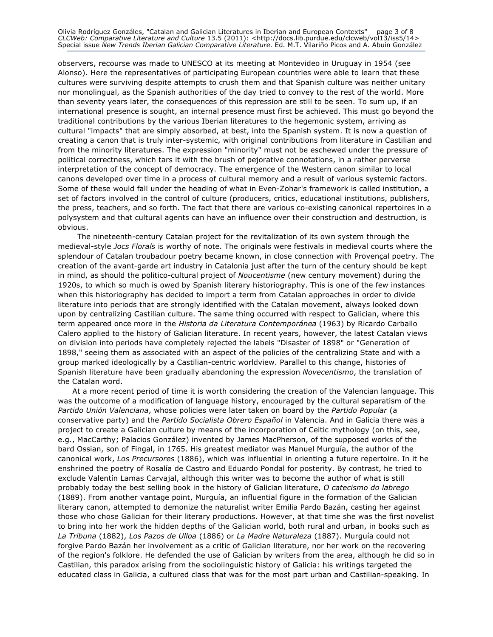Olivia Rodríguez Gonzáles, "Catalan and Galician Literatures in Iberian and European Contexts" page 3 of 8 *CLCWeb: Comparative Literature and Culture* 13.5 (2011): <http://docs.lib.purdue.edu/clcweb/vol13/iss5/14> Special issue *New Trends Iberian Galician Comparative Literature.* Ed. M.T. Vilariño Picos and A. Abuín González

observers, recourse was made to UNESCO at its meeting at Montevideo in Uruguay in 1954 (see Alonso). Here the representatives of participating European countries were able to learn that these cultures were surviving despite attempts to crush them and that Spanish culture was neither unitary nor monolingual, as the Spanish authorities of the day tried to convey to the rest of the world. More than seventy years later, the consequences of this repression are still to be seen. To sum up, if an international presence is sought, an internal presence must first be achieved. This must go beyond the traditional contributions by the various Iberian literatures to the hegemonic system, arriving as cultural "impacts" that are simply absorbed, at best, into the Spanish system. It is now a question of creating a canon that is truly inter-systemic, with original contributions from literature in Castilian and from the minority literatures. The expression "minority" must not be eschewed under the pressure of political correctness, which tars it with the brush of pejorative connotations, in a rather perverse interpretation of the concept of democracy. The emergence of the Western canon similar to local canons developed over time in a process of cultural memory and a result of various systemic factors. Some of these would fall under the heading of what in Even-Zohar's framework is called institution, a set of factors involved in the control of culture (producers, critics, educational institutions, publishers, the press, teachers, and so forth. The fact that there are various co-existing canonical repertoires in a polysystem and that cultural agents can have an influence over their construction and destruction, is obvious.

The nineteenth-century Catalan project for the revitalization of its own system through the medieval-style *Jocs Florals* is worthy of note. The originals were festivals in medieval courts where the splendour of Catalan troubadour poetry became known, in close connection with Provençal poetry. The creation of the avant-garde art industry in Catalonia just after the turn of the century should be kept in mind, as should the politico-cultural project of *Noucentisme* (new century movement) during the 1920s, to which so much is owed by Spanish literary historiography. This is one of the few instances when this historiography has decided to import a term from Catalan approaches in order to divide literature into periods that are strongly identified with the Catalan movement, always looked down upon by centralizing Castilian culture. The same thing occurred with respect to Galician, where this term appeared once more in the *Historia da Literatura Contemporánea* (1963) by Ricardo Carballo Calero applied to the history of Galician literature. In recent years, however, the latest Catalan views on division into periods have completely rejected the labels "Disaster of 1898" or "Generation of 1898," seeing them as associated with an aspect of the policies of the centralizing State and with a group marked ideologically by a Castilian-centric worldview. Parallel to this change, histories of Spanish literature have been gradually abandoning the expression *Novecentismo*, the translation of the Catalan word.

At a more recent period of time it is worth considering the creation of the Valencian language. This was the outcome of a modification of language history, encouraged by the cultural separatism of the *Partido Unión Valenciana*, whose policies were later taken on board by the *Partido Popular* (a conservative party) and the *Partido Socialista Obrero Español* in Valencia. And in Galicia there was a project to create a Galician culture by means of the incorporation of Celtic mythology (on this, see, e.g., MacCarthy; Palacios González) invented by James MacPherson, of the supposed works of the bard Ossian, son of Fingal, in 1765. His greatest mediator was Manuel Murguía, the author of the canonical work, *Los Precursores* (1886), which was influential in orienting a future repertoire. In it he enshrined the poetry of Rosalía de Castro and Eduardo Pondal for posterity. By contrast, he tried to exclude Valentín Lamas Carvajal, although this writer was to become the author of what is still probably today the best selling book in the history of Galician literature, *O catecismo do labrego* (1889). From another vantage point, Murguía, an influential figure in the formation of the Galician literary canon, attempted to demonize the naturalist writer Emilia Pardo Bazán, casting her against those who chose Galician for their literary productions. However, at that time she was the first novelist to bring into her work the hidden depths of the Galician world, both rural and urban, in books such as *La Tribuna* (1882), *Los Pazos de Ulloa* (1886) or *La Madre Naturaleza* (1887). Murguía could not forgive Pardo Bazán her involvement as a critic of Galician literature, nor her work on the recovering of the region's folklore. He defended the use of Galician by writers from the area, although he did so in Castilian, this paradox arising from the sociolinguistic history of Galicia: his writings targeted the educated class in Galicia, a cultured class that was for the most part urban and Castilian-speaking. In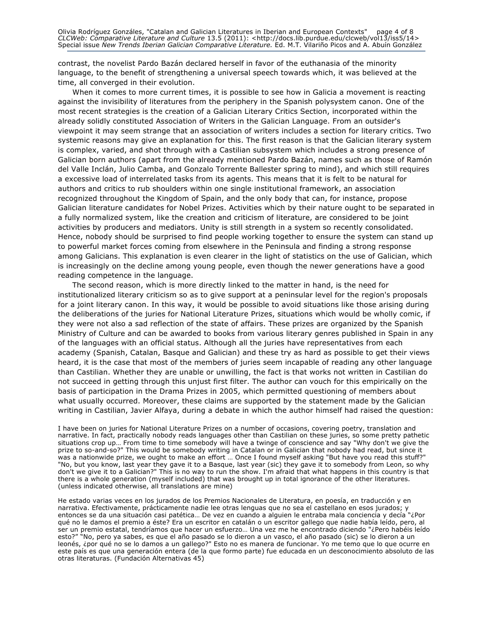contrast, the novelist Pardo Bazán declared herself in favor of the euthanasia of the minority language, to the benefit of strengthening a universal speech towards which, it was believed at the time, all converged in their evolution.

When it comes to more current times, it is possible to see how in Galicia a movement is reacting against the invisibility of literatures from the periphery in the Spanish polysystem canon. One of the most recent strategies is the creation of a Galician Literary Critics Section, incorporated within the already solidly constituted Association of Writers in the Galician Language. From an outsider's viewpoint it may seem strange that an association of writers includes a section for literary critics. Two systemic reasons may give an explanation for this. The first reason is that the Galician literary system is complex, varied, and shot through with a Castilian subsystem which includes a strong presence of Galician born authors (apart from the already mentioned Pardo Bazán, names such as those of Ramón del Valle Inclán, Julio Camba, and Gonzalo Torrente Ballester spring to mind), and which still requires a excessive load of interrelated tasks from its agents. This means that it is felt to be natural for authors and critics to rub shoulders within one single institutional framework, an association recognized throughout the Kingdom of Spain, and the only body that can, for instance, propose Galician literature candidates for Nobel Prizes. Activities which by their nature ought to be separated in a fully normalized system, like the creation and criticism of literature, are considered to be joint activities by producers and mediators. Unity is still strength in a system so recently consolidated. Hence, nobody should be surprised to find people working together to ensure the system can stand up to powerful market forces coming from elsewhere in the Peninsula and finding a strong response among Galicians. This explanation is even clearer in the light of statistics on the use of Galician, which is increasingly on the decline among young people, even though the newer generations have a good reading competence in the language.

The second reason, which is more directly linked to the matter in hand, is the need for institutionalized literary criticism so as to give support at a peninsular level for the region's proposals for a joint literary canon. In this way, it would be possible to avoid situations like those arising during the deliberations of the juries for National Literature Prizes, situations which would be wholly comic, if they were not also a sad reflection of the state of affairs. These prizes are organized by the Spanish Ministry of Culture and can be awarded to books from various literary genres published in Spain in any of the languages with an official status. Although all the juries have representatives from each academy (Spanish, Catalan, Basque and Galician) and these try as hard as possible to get their views heard, it is the case that most of the members of juries seem incapable of reading any other language than Castilian. Whether they are unable or unwilling, the fact is that works not written in Castilian do not succeed in getting through this unjust first filter. The author can vouch for this empirically on the basis of participation in the Drama Prizes in 2005, which permitted questioning of members about what usually occurred. Moreover, these claims are supported by the statement made by the Galician writing in Castilian, Javier Alfaya, during a debate in which the author himself had raised the question:

I have been on juries for National Literature Prizes on a number of occasions, covering poetry, translation and narrative. In fact, practically nobody reads languages other than Castilian on these juries, so some pretty pathetic situations crop up… From time to time somebody will have a twinge of conscience and say "Why don't we give the prize to so-and-so?" This would be somebody writing in Catalan or in Galician that nobody had read, but since it was a nationwide prize, we ought to make an effort ... Once I found myself asking "But have you read this stuff?" "No, but you know, last year they gave it to a Basque, last year (sic) they gave it to somebody from Leon, so why don't we give it to a Galician?" This is no way to run the show. I'm afraid that what happens in this country is that there is a whole generation (myself included) that was brought up in total ignorance of the other literatures. (unless indicated otherwise, all translations are mine)

He estado varias veces en los jurados de los Premios Nacionales de Literatura, en poesía, en traducción y en narrativa. Efectivamente, prácticamente nadie lee otras lenguas que no sea el castellano en esos jurados; y entonces se da una situación casi patética… De vez en cuando a alguien le entraba mala conciencia y decía "¿Por qué no le damos el premio a éste? Era un escritor en catalán o un escritor gallego que nadie había leído, pero, al ser un premio estatal, tendríamos que hacer un esfuerzo… Una vez me he encontrado diciendo "¿Pero habéis leído esto?" "No, pero ya sabes, es que el año pasado se lo dieron a un vasco, el año pasado (sic) se lo dieron a un leonés, ¿por qué no se lo damos a un gallego?" Esto no es manera de funcionar. Yo me temo que lo que ocurre en este país es que una generación entera (de la que formo parte) fue educada en un desconocimiento absoluto de las otras literaturas. (Fundación Alternativas 45)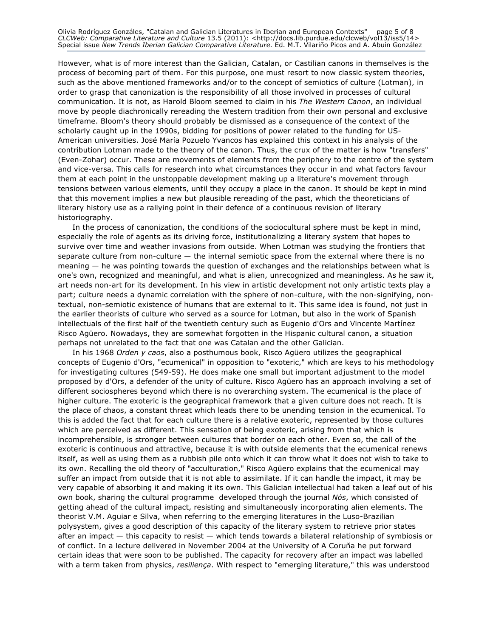Olivia Rodríguez Gonzáles, "Catalan and Galician Literatures in Iberian and European Contexts" page 5 of 8 *CLCWeb: Comparative Literature and Culture* 13.5 (2011): <http://docs.lib.purdue.edu/clcweb/vol13/iss5/14> Special issue *New Trends Iberian Galician Comparative Literature.* Ed. M.T. Vilariño Picos and A. Abuín González

However, what is of more interest than the Galician, Catalan, or Castilian canons in themselves is the process of becoming part of them. For this purpose, one must resort to now classic system theories, such as the above mentioned frameworks and/or to the concept of semiotics of culture (Lotman), in order to grasp that canonization is the responsibility of all those involved in processes of cultural communication. It is not, as Harold Bloom seemed to claim in his *The Western Canon*, an individual move by people diachronically rereading the Western tradition from their own personal and exclusive timeframe. Bloom's theory should probably be dismissed as a consequence of the context of the scholarly caught up in the 1990s, bidding for positions of power related to the funding for US-American universities. José María Pozuelo Yvancos has explained this context in his analysis of the contribution Lotman made to the theory of the canon. Thus, the crux of the matter is how "transfers" (Even-Zohar) occur. These are movements of elements from the periphery to the centre of the system and vice-versa. This calls for research into what circumstances they occur in and what factors favour them at each point in the unstoppable development making up a literature's movement through tensions between various elements, until they occupy a place in the canon. It should be kept in mind that this movement implies a new but plausible rereading of the past, which the theoreticians of literary history use as a rallying point in their defence of a continuous revision of literary historiography.

In the process of canonization, the conditions of the sociocultural sphere must be kept in mind, especially the role of agents as its driving force, institutionalizing a literary system that hopes to survive over time and weather invasions from outside. When Lotman was studying the frontiers that separate culture from non-culture — the internal semiotic space from the external where there is no meaning — he was pointing towards the question of exchanges and the relationships between what is one's own, recognized and meaningful, and what is alien, unrecognized and meaningless. As he saw it, art needs non-art for its development. In his view in artistic development not only artistic texts play a part; culture needs a dynamic correlation with the sphere of non-culture, with the non-signifying, nontextual, non-semiotic existence of humans that are external to it. This same idea is found, not just in the earlier theorists of culture who served as a source for Lotman, but also in the work of Spanish intellectuals of the first half of the twentieth century such as Eugenio d'Ors and Vincente Martínez Risco Agüero. Nowadays, they are somewhat forgotten in the Hispanic cultural canon, a situation perhaps not unrelated to the fact that one was Catalan and the other Galician.

In his 1968 *Orden y caos*, also a posthumous book, Risco Agüero utilizes the geographical concepts of Eugenio d'Ors, "ecumenical" in opposition to "exoteric," which are keys to his methodology for investigating cultures (549-59). He does make one small but important adjustment to the model proposed by d'Ors, a defender of the unity of culture. Risco Agüero has an approach involving a set of different sociospheres beyond which there is no overarching system. The ecumenical is the place of higher culture. The exoteric is the geographical framework that a given culture does not reach. It is the place of chaos, a constant threat which leads there to be unending tension in the ecumenical. To this is added the fact that for each culture there is a relative exoteric, represented by those cultures which are perceived as different. This sensation of being exoteric, arising from that which is incomprehensible, is stronger between cultures that border on each other. Even so, the call of the exoteric is continuous and attractive, because it is with outside elements that the ecumenical renews itself, as well as using them as a rubbish pile onto which it can throw what it does not wish to take to its own. Recalling the old theory of "acculturation," Risco Agüero explains that the ecumenical may suffer an impact from outside that it is not able to assimilate. If it can handle the impact, it may be very capable of absorbing it and making it its own. This Galician intellectual had taken a leaf out of his own book, sharing the cultural programme developed through the journal *Nós*, which consisted of getting ahead of the cultural impact, resisting and simultaneously incorporating alien elements. The theorist V.M. Aguiar e Silva, when referring to the emerging literatures in the Luso-Brazilian polysystem, gives a good description of this capacity of the literary system to retrieve prior states after an impact — this capacity to resist — which tends towards a bilateral relationship of symbiosis or of conflict. In a lecture delivered in November 2004 at the University of A Coruña he put forward certain ideas that were soon to be published. The capacity for recovery after an impact was labelled with a term taken from physics, *resiliença*. With respect to "emerging literature," this was understood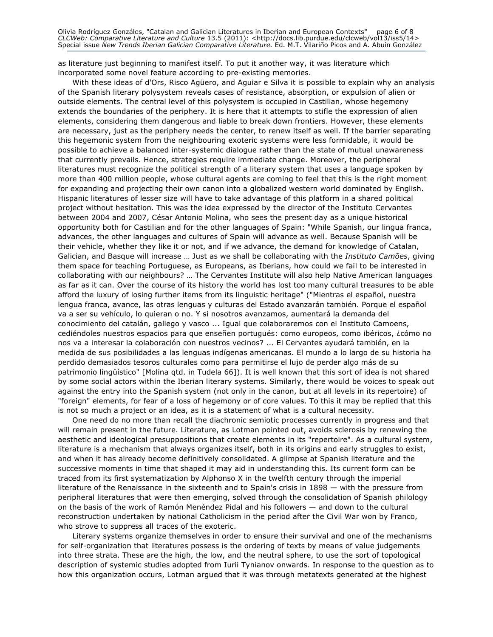Olivia Rodríguez Gonzáles, "Catalan and Galician Literatures in Iberian and European Contexts" page 6 of 8 *CLCWeb: Comparative Literature and Culture* 13.5 (2011): <http://docs.lib.purdue.edu/clcweb/vol13/iss5/14> Special issue *New Trends Iberian Galician Comparative Literature.* Ed. M.T. Vilariño Picos and A. Abuín González

as literature just beginning to manifest itself. To put it another way, it was literature which incorporated some novel feature according to pre-existing memories.

With these ideas of d'Ors, Risco Agüero, and Aguiar e Silva it is possible to explain why an analysis of the Spanish literary polysystem reveals cases of resistance, absorption, or expulsion of alien or outside elements. The central level of this polysystem is occupied in Castilian, whose hegemony extends the boundaries of the periphery. It is here that it attempts to stifle the expression of alien elements, considering them dangerous and liable to break down frontiers. However, these elements are necessary, just as the periphery needs the center, to renew itself as well. If the barrier separating this hegemonic system from the neighbouring exoteric systems were less formidable, it would be possible to achieve a balanced inter-systemic dialogue rather than the state of mutual unawareness that currently prevails. Hence, strategies require immediate change. Moreover, the peripheral literatures must recognize the political strength of a literary system that uses a language spoken by more than 400 million people, whose cultural agents are coming to feel that this is the right moment for expanding and projecting their own canon into a globalized western world dominated by English. Hispanic literatures of lesser size will have to take advantage of this platform in a shared political project without hesitation. This was the idea expressed by the director of the Instituto Cervantes between 2004 and 2007, César Antonio Molina, who sees the present day as a unique historical opportunity both for Castilian and for the other languages of Spain: "While Spanish, our lingua franca, advances, the other languages and cultures of Spain will advance as well. Because Spanish will be their vehicle, whether they like it or not, and if we advance, the demand for knowledge of Catalan, Galician, and Basque will increase … Just as we shall be collaborating with the *Instituto Camões*, giving them space for teaching Portuguese, as Europeans, as Iberians, how could we fail to be interested in collaborating with our neighbours? … The Cervantes Institute will also help Native American languages as far as it can. Over the course of its history the world has lost too many cultural treasures to be able afford the luxury of losing further items from its linguistic heritage" ("Mientras el español, nuestra lengua franca, avance, las otras lenguas y culturas del Estado avanzarán también. Porque el español va a ser su vehículo, lo quieran o no. Y si nosotros avanzamos, aumentará la demanda del conocimiento del catalán, gallego y vasco ... Igual que colaboraremos con el Instituto Camoens, cediéndoles nuestros espacios para que enseñen portugués: como europeos, como ibéricos, ¿cómo no nos va a interesar la colaboración con nuestros vecinos? ... El Cervantes ayudará también, en la medida de sus posibilidades a las lenguas indígenas americanas. El mundo a lo largo de su historia ha perdido demasiados tesoros culturales como para permitirse el lujo de perder algo más de su patrimonio lingüístico" [Molina qtd. in Tudela 66]). It is well known that this sort of idea is not shared by some social actors within the Iberian literary systems. Similarly, there would be voices to speak out against the entry into the Spanish system (not only in the canon, but at all levels in its repertoire) of "foreign" elements, for fear of a loss of hegemony or of core values. To this it may be replied that this is not so much a project or an idea, as it is a statement of what is a cultural necessity.

One need do no more than recall the diachronic semiotic processes currently in progress and that will remain present in the future. Literature, as Lotman pointed out, avoids sclerosis by renewing the aesthetic and ideological presuppositions that create elements in its "repertoire". As a cultural system, literature is a mechanism that always organizes itself, both in its origins and early struggles to exist, and when it has already become definitively consolidated. A glimpse at Spanish literature and the successive moments in time that shaped it may aid in understanding this. Its current form can be traced from its first systematization by Alphonso X in the twelfth century through the imperial literature of the Renaissance in the sixteenth and to Spain's crisis in 1898 — with the pressure from peripheral literatures that were then emerging, solved through the consolidation of Spanish philology on the basis of the work of Ramón Menéndez Pidal and his followers — and down to the cultural reconstruction undertaken by national Catholicism in the period after the Civil War won by Franco, who strove to suppress all traces of the exoteric.

Literary systems organize themselves in order to ensure their survival and one of the mechanisms for self-organization that literatures possess is the ordering of texts by means of value judgements into three strata. These are the high, the low, and the neutral sphere, to use the sort of topological description of systemic studies adopted from Iurii Tynianov onwards. In response to the question as to how this organization occurs, Lotman argued that it was through metatexts generated at the highest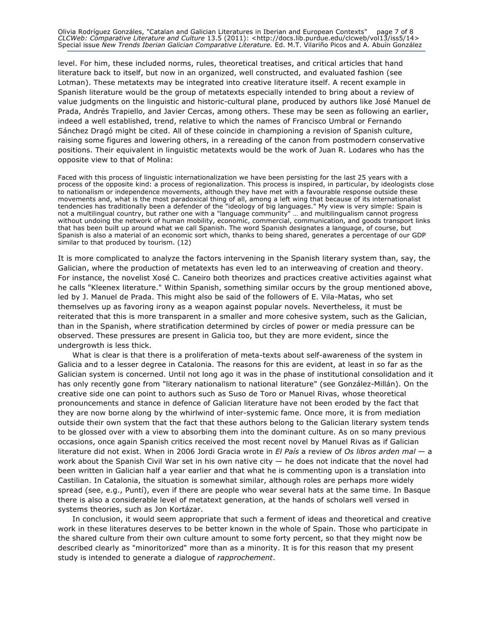Olivia Rodríguez Gonzáles, "Catalan and Galician Literatures in Iberian and European Contexts" page 7 of 8 *CLCWeb: Comparative Literature and Culture* 13.5 (2011): <http://docs.lib.purdue.edu/clcweb/vol13/iss5/14> Special issue *New Trends Iberian Galician Comparative Literature.* Ed. M.T. Vilariño Picos and A. Abuín González

level. For him, these included norms, rules, theoretical treatises, and critical articles that hand literature back to itself, but now in an organized, well constructed, and evaluated fashion (see Lotman). These metatexts may be integrated into creative literature itself. A recent example in Spanish literature would be the group of metatexts especially intended to bring about a review of value judgments on the linguistic and historic-cultural plane, produced by authors like José Manuel de Prada, Andrés Trapiello, and Javier Cercas, among others. These may be seen as following an earlier, indeed a well established, trend, relative to which the names of Francisco Umbral or Fernando Sánchez Dragó might be cited. All of these coincide in championing a revision of Spanish culture, raising some figures and lowering others, in a rereading of the canon from postmodern conservative positions. Their equivalent in linguistic metatexts would be the work of Juan R. Lodares who has the opposite view to that of Molina:

Faced with this process of linguistic internationalization we have been persisting for the last 25 years with a process of the opposite kind: a process of regionalization. This process is inspired, in particular, by ideologists close to nationalism or independence movements, although they have met with a favourable response outside these movements and, what is the most paradoxical thing of all, among a left wing that because of its internationalist tendencies has traditionally been a defender of the "ideology of big languages." My view is very simple: Spain is not a multilingual country, but rather one with a "language community" … and multilingualism cannot progress without undoing the network of human mobility, economic, commercial, communication, and goods transport links that has been built up around what we call Spanish. The word Spanish designates a language, of course, but Spanish is also a material of an economic sort which, thanks to being shared, generates a percentage of our GDP similar to that produced by tourism. (12)

It is more complicated to analyze the factors intervening in the Spanish literary system than, say, the Galician, where the production of metatexts has even led to an interweaving of creation and theory. For instance, the novelist Xosé C. Caneiro both theorizes and practices creative activities against what he calls "Kleenex literature." Within Spanish, something similar occurs by the group mentioned above, led by J. Manuel de Prada. This might also be said of the followers of E. Vila-Matas, who set themselves up as favoring irony as a weapon against popular novels. Nevertheless, it must be reiterated that this is more transparent in a smaller and more cohesive system, such as the Galician, than in the Spanish, where stratification determined by circles of power or media pressure can be observed. These pressures are present in Galicia too, but they are more evident, since the undergrowth is less thick.

What is clear is that there is a proliferation of meta-texts about self-awareness of the system in Galicia and to a lesser degree in Catalonia. The reasons for this are evident, at least in so far as the Galician system is concerned. Until not long ago it was in the phase of institutional consolidation and it has only recently gone from "literary nationalism to national literature" (see González-Millán). On the creative side one can point to authors such as Suso de Toro or Manuel Rivas, whose theoretical pronouncements and stance in defence of Galician literature have not been eroded by the fact that they are now borne along by the whirlwind of inter-systemic fame. Once more, it is from mediation outside their own system that the fact that these authors belong to the Galician literary system tends to be glossed over with a view to absorbing them into the dominant culture. As on so many previous occasions, once again Spanish critics received the most recent novel by Manuel Rivas as if Galician literature did not exist. When in 2006 Jordi Gracia wrote in *El País* a review of *Os libros arden mal* — a work about the Spanish Civil War set in his own native city  $-$  he does not indicate that the novel had been written in Galician half a year earlier and that what he is commenting upon is a translation into Castilian. In Catalonia, the situation is somewhat similar, although roles are perhaps more widely spread (see, e.g., Puntí), even if there are people who wear several hats at the same time. In Basque there is also a considerable level of metatext generation, at the hands of scholars well versed in systems theories, such as Jon Kortázar.

In conclusion, it would seem appropriate that such a ferment of ideas and theoretical and creative work in these literatures deserves to be better known in the whole of Spain. Those who participate in the shared culture from their own culture amount to some forty percent, so that they might now be described clearly as "minoritorized" more than as a minority. It is for this reason that my present study is intended to generate a dialogue of *rapprochement*.